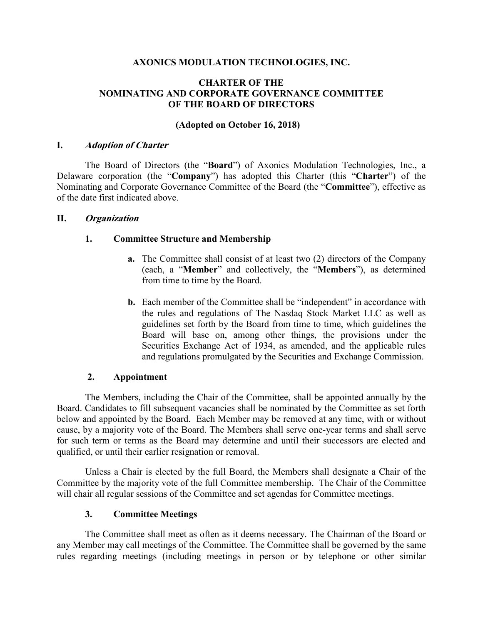## **AXONICS MODULATION TECHNOLOGIES, INC.**

## **CHARTER OF THE NOMINATING AND CORPORATE GOVERNANCE COMMITTEE OF THE BOARD OF DIRECTORS**

## **(Adopted on October 16, 2018)**

### **I. Adoption of Charter**

The Board of Directors (the "**Board**") of Axonics Modulation Technologies, Inc., a Delaware corporation (the "**Company**") has adopted this Charter (this "**Charter**") of the Nominating and Corporate Governance Committee of the Board (the "**Committee**"), effective as of the date first indicated above.

### **II. Organization**

### **1. Committee Structure and Membership**

- **a.** The Committee shall consist of at least two (2) directors of the Company (each, a "**Member**" and collectively, the "**Members**"), as determined from time to time by the Board.
- **b.** Each member of the Committee shall be "independent" in accordance with the rules and regulations of The Nasdaq Stock Market LLC as well as guidelines set forth by the Board from time to time, which guidelines the Board will base on, among other things, the provisions under the Securities Exchange Act of 1934, as amended, and the applicable rules and regulations promulgated by the Securities and Exchange Commission.

### **2. Appointment**

The Members, including the Chair of the Committee, shall be appointed annually by the Board. Candidates to fill subsequent vacancies shall be nominated by the Committee as set forth below and appointed by the Board. Each Member may be removed at any time, with or without cause, by a majority vote of the Board. The Members shall serve one-year terms and shall serve for such term or terms as the Board may determine and until their successors are elected and qualified, or until their earlier resignation or removal.

Unless a Chair is elected by the full Board, the Members shall designate a Chair of the Committee by the majority vote of the full Committee membership. The Chair of the Committee will chair all regular sessions of the Committee and set agendas for Committee meetings.

### **3. Committee Meetings**

The Committee shall meet as often as it deems necessary. The Chairman of the Board or any Member may call meetings of the Committee. The Committee shall be governed by the same rules regarding meetings (including meetings in person or by telephone or other similar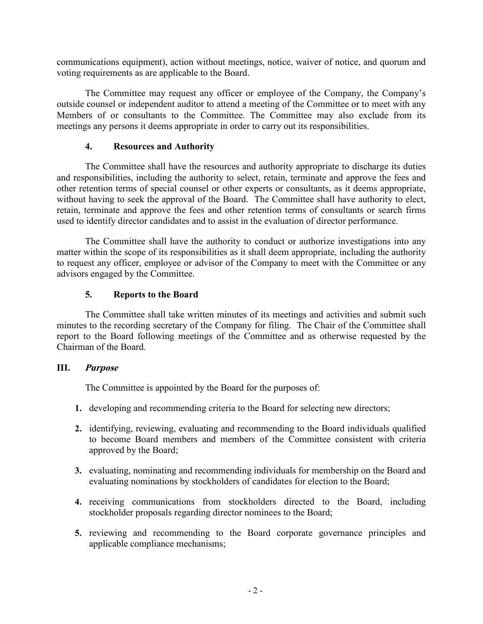communications equipment), action without meetings, notice, waiver of notice, and quorum and voting requirements as are applicable to the Board.

The Committee may request any officer or employee of the Company, the Company's outside counsel or independent auditor to attend a meeting of the Committee or to meet with any Members of or consultants to the Committee. The Committee may also exclude from its meetings any persons it deems appropriate in order to carry out its responsibilities.

# **4. Resources and Authority**

The Committee shall have the resources and authority appropriate to discharge its duties and responsibilities, including the authority to select, retain, terminate and approve the fees and other retention terms of special counsel or other experts or consultants, as it deems appropriate, without having to seek the approval of the Board. The Committee shall have authority to elect, retain, terminate and approve the fees and other retention terms of consultants or search firms used to identify director candidates and to assist in the evaluation of director performance.

The Committee shall have the authority to conduct or authorize investigations into any matter within the scope of its responsibilities as it shall deem appropriate, including the authority to request any officer, employee or advisor of the Company to meet with the Committee or any advisors engaged by the Committee.

# **5. Reports to the Board**

The Committee shall take written minutes of its meetings and activities and submit such minutes to the recording secretary of the Company for filing. The Chair of the Committee shall report to the Board following meetings of the Committee and as otherwise requested by the Chairman of the Board.

### **III. Purpose**

The Committee is appointed by the Board for the purposes of:

- **1.** developing and recommending criteria to the Board for selecting new directors;
- **2.** identifying, reviewing, evaluating and recommending to the Board individuals qualified to become Board members and members of the Committee consistent with criteria approved by the Board;
- **3.** evaluating, nominating and recommending individuals for membership on the Board and evaluating nominations by stockholders of candidates for election to the Board;
- **4.** receiving communications from stockholders directed to the Board, including stockholder proposals regarding director nominees to the Board;
- **5.** reviewing and recommending to the Board corporate governance principles and applicable compliance mechanisms;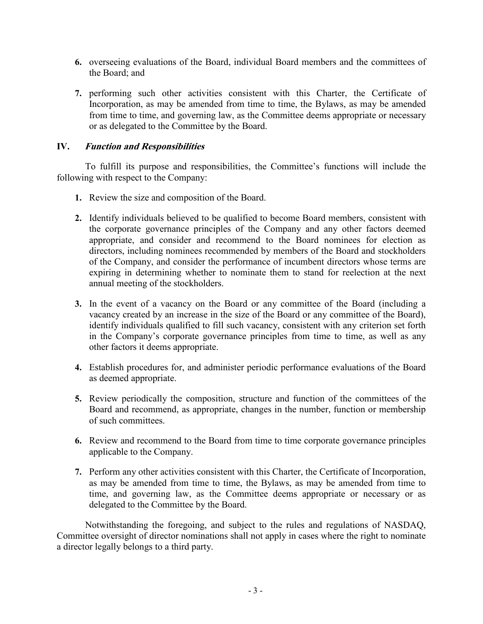- **6.** overseeing evaluations of the Board, individual Board members and the committees of the Board; and
- **7.** performing such other activities consistent with this Charter, the Certificate of Incorporation, as may be amended from time to time, the Bylaws, as may be amended from time to time, and governing law, as the Committee deems appropriate or necessary or as delegated to the Committee by the Board.

# **IV. Function and Responsibilities**

To fulfill its purpose and responsibilities, the Committee's functions will include the following with respect to the Company:

- **1.** Review the size and composition of the Board.
- **2.** Identify individuals believed to be qualified to become Board members, consistent with the corporate governance principles of the Company and any other factors deemed appropriate, and consider and recommend to the Board nominees for election as directors, including nominees recommended by members of the Board and stockholders of the Company, and consider the performance of incumbent directors whose terms are expiring in determining whether to nominate them to stand for reelection at the next annual meeting of the stockholders.
- **3.** In the event of a vacancy on the Board or any committee of the Board (including a vacancy created by an increase in the size of the Board or any committee of the Board), identify individuals qualified to fill such vacancy, consistent with any criterion set forth in the Company's corporate governance principles from time to time, as well as any other factors it deems appropriate.
- **4.** Establish procedures for, and administer periodic performance evaluations of the Board as deemed appropriate.
- **5.** Review periodically the composition, structure and function of the committees of the Board and recommend, as appropriate, changes in the number, function or membership of such committees.
- **6.** Review and recommend to the Board from time to time corporate governance principles applicable to the Company.
- **7.** Perform any other activities consistent with this Charter, the Certificate of Incorporation, as may be amended from time to time, the Bylaws, as may be amended from time to time, and governing law, as the Committee deems appropriate or necessary or as delegated to the Committee by the Board.

Notwithstanding the foregoing, and subject to the rules and regulations of NASDAQ, Committee oversight of director nominations shall not apply in cases where the right to nominate a director legally belongs to a third party.